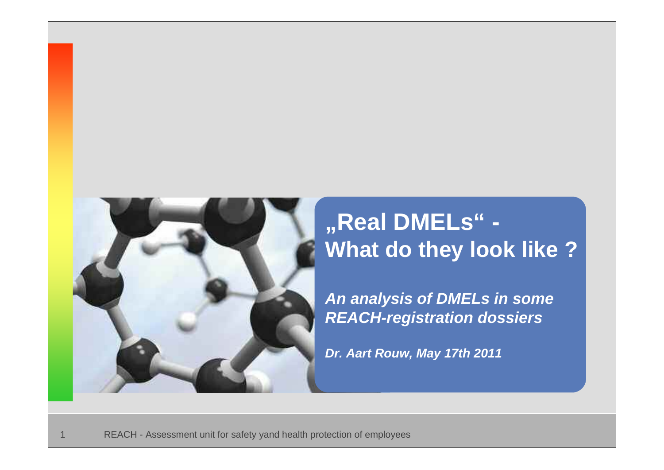

# **"Real DMELs" - What do they look like ?**

*An analysis of DMELs in some REACH-registration dossiers*

*Dr. Aart Rouw, May 17th 2011*

REACH - Assessment unit for safety yand health protection of employees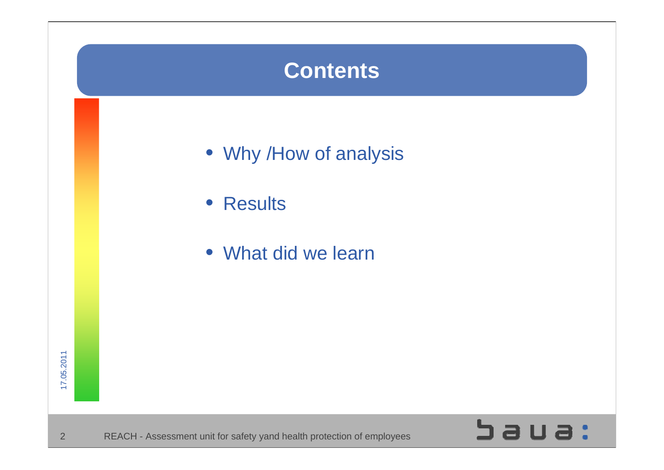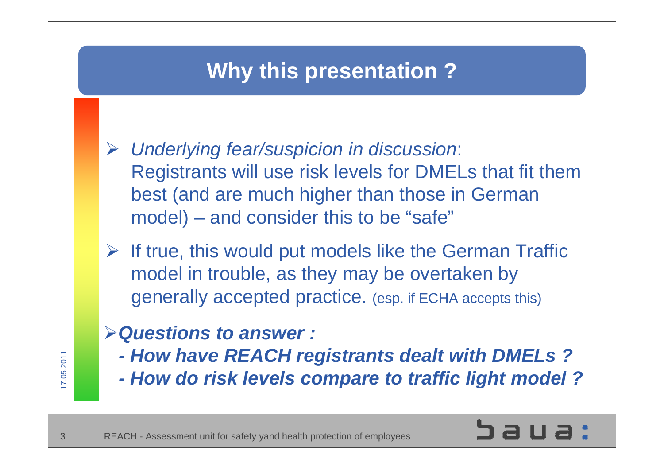## **Why this presentation ?**

- ¾ *Underlying fear/suspicion in discussion*: Registrants will use risk levels for DMELs that fit them best (and are much higher than those in German model) – and consider this to be "safe"
- $\triangleright$  If true, this would put models like the German Traffic model in trouble, as they may be overtaken by generally accepted practice. (esp. if ECHA accepts this)

#### ¾*Questions to answer :*

- *- How have REACH registrants dealt with DMELs ?*
- *- How do risk levels compare to traffic light model ?*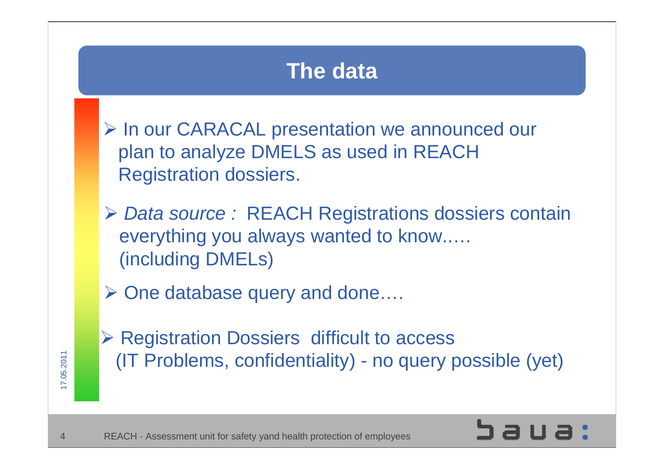## **The data**

- ¾ In our CARACAL presentation we announced our plan to analyze DMELS as used in REACH Registration dossiers.
- ¾ *Data source :* REACH Registrations dossiers contain everything you always wanted to know..… (including DMELs)
- ¾ One database query and done….
- ¾ Registration Dossiers difficult to access (IT Problems, confidentiality) - no query possible (yet)

7.05.2011 7.05.2011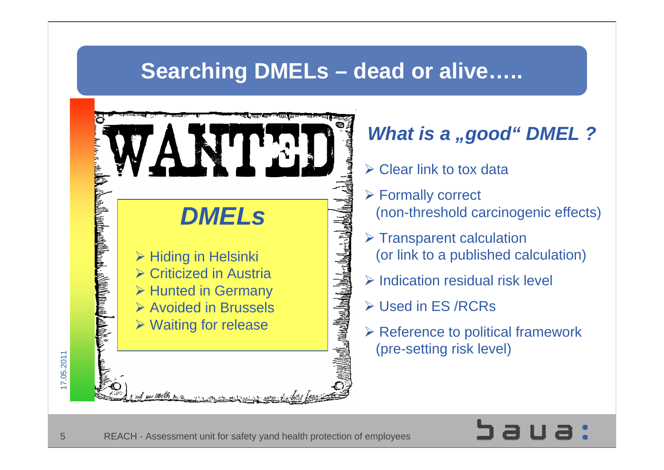## **Searching DMELs – dead or alive…..**



## *What is a "good" DMEL ?*

- $\triangleright$  Clear link to tox data
- ¾ Formally correct (non-threshold carcinogenic effects)
- $\triangleright$  Transparent calculation (or link to a published calculation)
- $\triangleright$  Indication residual risk level
- ¾ Used in ES /RCRs
- $\triangleright$  Reference to political framework (pre-setting risk level)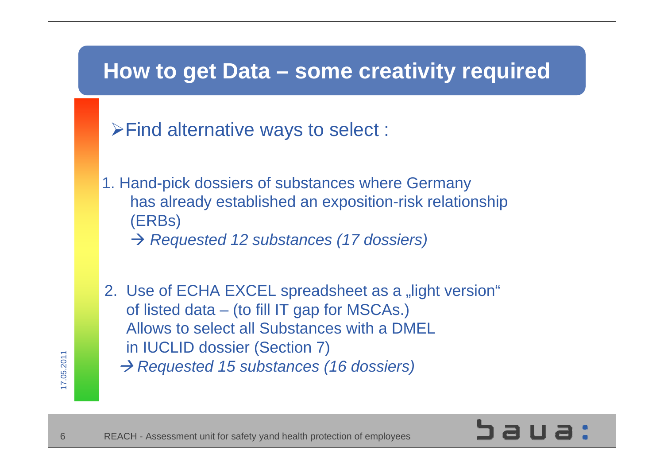

- $\triangleright$  Find alternative ways to select :
- 1. Hand-pick dossiers of substances where Germany has already established an exposition-risk relationship (ERBs)
	- Æ *Requested 12 substances (17 dossiers)*
- 2. Use of ECHA EXCEL spreadsheet as a "light version" of listed data – (to fill IT gap for MSCAs.) Allows to select all Substances with a DMEL in IUCLID dossier (Section 7) Æ *Requested 15 substances (16 dossiers)*

 $\overline{\phantom{0}}$ 

 $\mathcal{N}$ 

7.05.2011

05.2011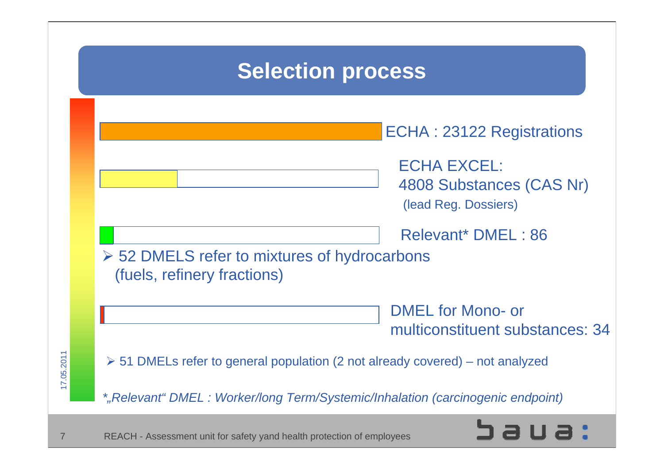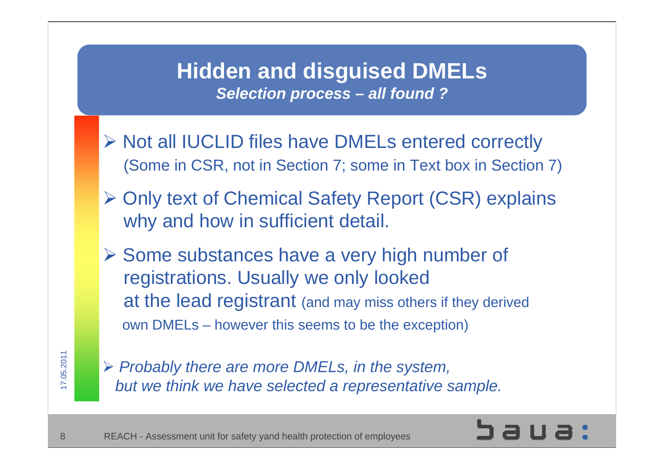#### **Hidden and disguised DMELs** *Selection process – all found ?*

- ¾ Not all IUCLID files have DMELs entered correctly (Some in CSR, not in Section 7; some in Text box in Section 7)
- ¾ Only text of Chemical Safety Report (CSR) explains why and how in sufficient detail.
- ¾ Some substances have a very high number of registrations. Usually we only looked at the lead registrant (and may miss others if they derived own DMELs – however this seems to be the exception)

¾ *Probably there are more DMELs, in the system, but we think we have selected a representative sample.*

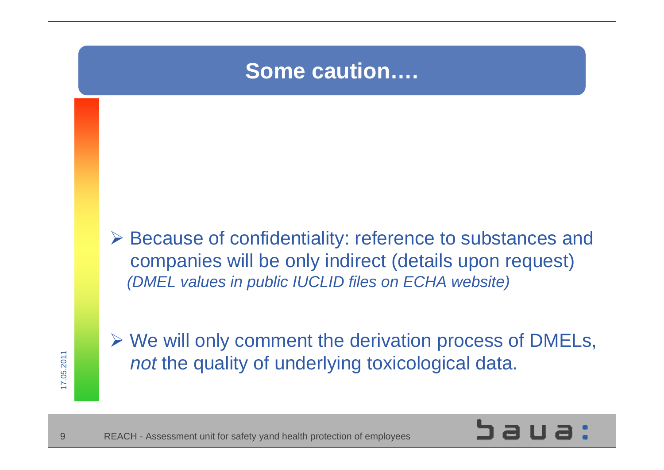## **Some caution….**

¾ Because of confidentiality: reference to substances and companies will be only indirect (details upon request) *(DMEL values in public IUCLID files on ECHA website)*



9

¾ We will only comment the derivation process of DMELs, *not* the quality of underlying toxicological data.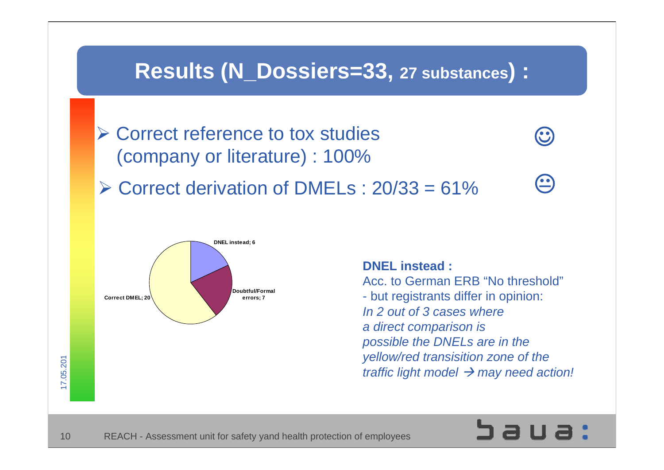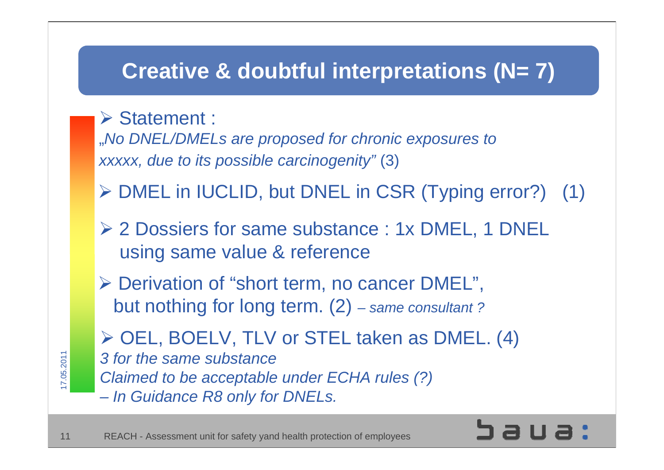## **Creative & doubtful interpretations (N= 7)**

#### ¾ Statement :

17.05.2011 7.05.2011

"*No DNEL/DMELs are proposed for chronic exposures to xxxxx, due to its possible carcinogenity"* (3)

- ¾ DMEL in IUCLID, but DNEL in CSR (Typing error?) (1)
- ¾ 2 Dossiers for same substance : 1x DMEL, 1 DNEL using same value & reference
- ¾ Derivation of "short term, no cancer DMEL", but nothing for long term. (2) *– same consultant ?*

¾ OEL, BOELV, TLV or STEL taken as DMEL. (4) *3 for the same substance Claimed to be acceptable under ECHA rules (?) – In Guidance R8 only for DNELs.*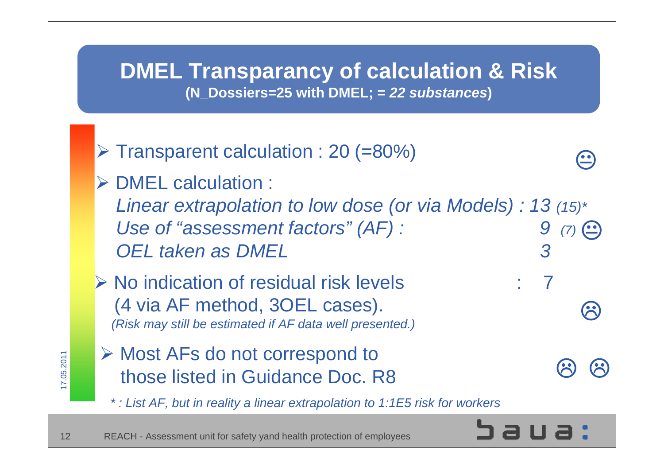#### **DMEL Transparancy of calculation & Risk (N\_Dossiers=25 with DMEL; =** *22 substances***)**

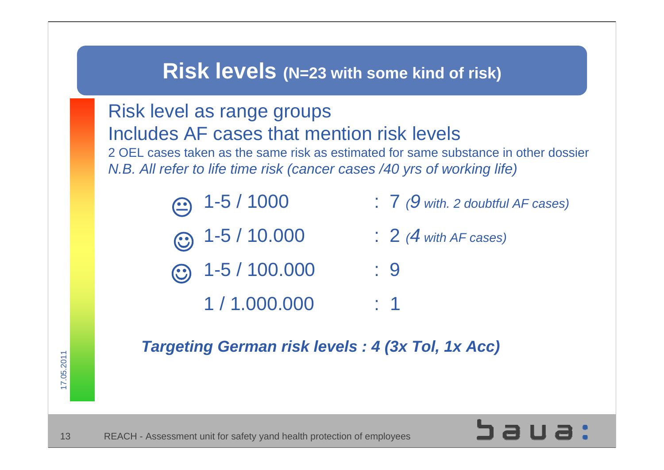### **Risk levels (N=23 with some kind of risk)**



17.05.2011 7.05.2011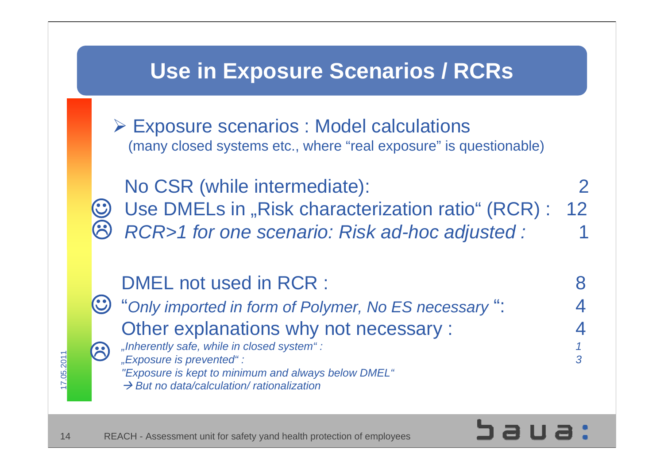## **Use in Exposure Scenarios / RCRs**

¾ Exposure scenarios : Model calculations (many closed systems etc., where "real exposure" is questionable)

☺8 No CSR (while intermediate): 2 Use DMELs in "Risk characterization ratio" (RCR) : 12 *RCR>1 for one scenario: Risk ad-hoc adjusted :* 1

#### DMEL not used in RCR : 8 "*Only imported in form of Polymer, No ES necessary* ": 4 Other explanations why not necessary : *"Inherently safe, while in closed system" : 1* 3 ☺

*"Exposure is prevented" : 3*

 $\overline{\phantom{0}}$ 

14

7.05.2011

 $.05.2011$ 

*"Exposure is kept to minimum and always below DMEL"*

Æ *But no data/calculation/ rationalization*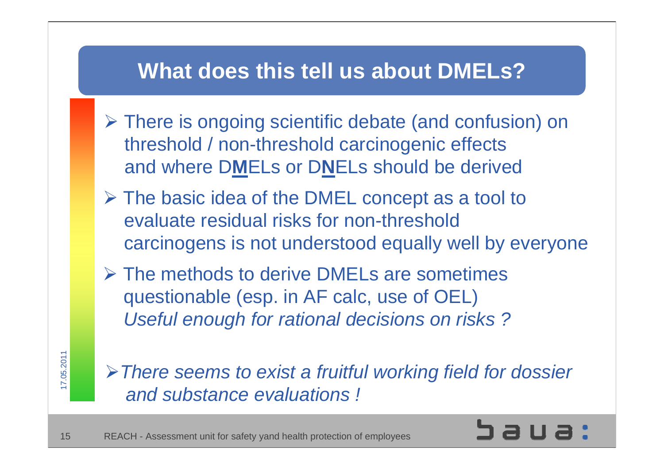## **What does this tell us about DMELs?**

- ¾ There is ongoing scientific debate (and confusion) on threshold / non-threshold carcinogenic effects and where D**M**ELs or D**N**ELs should be derived
- ¾ The basic idea of the DMEL concept as a tool to evaluate residual risks for non-threshold carcinogens is not understood equally well by everyone
- $\triangleright$  The methods to derive DMELs are sometimes questionable (esp. in AF calc, use of OEL) *Useful enough for rational decisions on risks ?*

17.05.2011 7.05.2011

¾*There seems to exist a fruitful working field for dossier and substance evaluations !*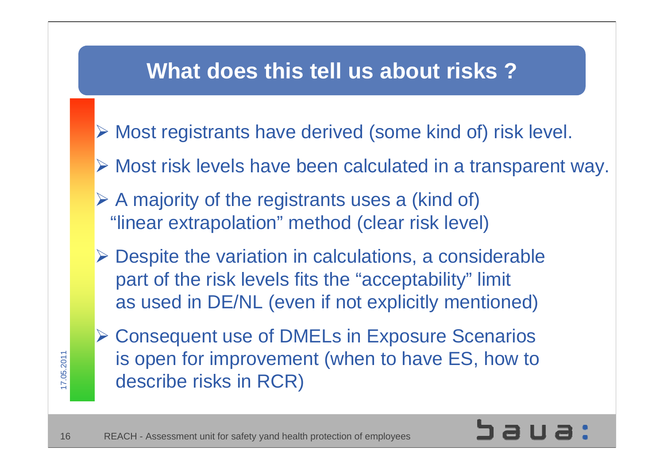## **What does this tell us about risks ?**

- ¾ Most registrants have derived (some kind of) risk level.
- ¾ Most risk levels have been calculated in a transparent way.
- $\triangleright$  A majority of the registrants uses a (kind of) "linear extrapolation" method (clear risk level)
- $\triangleright$  Despite the variation in calculations, a considerable part of the risk levels fits the "acceptability" limit as used in DE/NL (even if not explicitly mentioned)
- ¾ Consequent use of DMELs in Exposure Scenarios is open for improvement (when to have ES, how to describe risks in RCR)



17.05.2011 7.05.2011